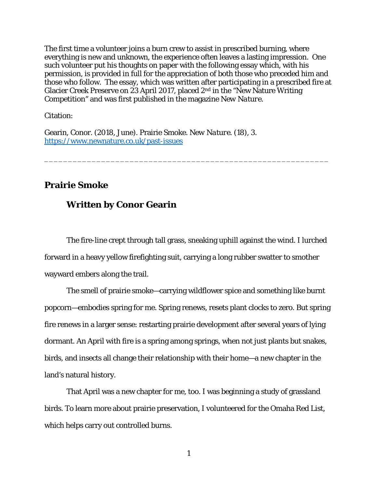The first time a volunteer joins a burn crew to assist in prescribed burning, where everything is new and unknown, the experience often leaves a lasting impression. One such volunteer put his thoughts on paper with the following essay which, with his permission, is provided in full for the appreciation of both those who preceded him and those who follow. The essay, which was written after participating in a prescribed fire at Glacier Creek Preserve on 23 April 2017, placed 2nd in the "New Nature Writing Competition" and was first published in the magazine *New Nature*.

\_\_\_\_\_\_\_\_\_\_\_\_\_\_\_\_\_\_\_\_\_\_\_\_\_\_\_\_\_\_\_\_\_\_\_\_\_\_\_\_\_\_\_\_\_\_\_\_\_\_\_\_\_\_\_\_\_\_\_\_

Citation:

Gearin, Conor. (2018, June). Prairie Smoke. *New Nature*. (18), 3. https://www.newnature.co.uk/past-issues

## **Prairie Smoke**

## **Written by Conor Gearin**

The fire-line crept through tall grass, sneaking uphill against the wind. I lurched forward in a heavy yellow firefighting suit, carrying a long rubber swatter to smother wayward embers along the trail.

The smell of prairie smoke—carrying wildflower spice and something like burnt popcorn—embodies spring for me. Spring renews, resets plant clocks to zero. But spring fire renews in a larger sense: restarting prairie development after several years of lying dormant. An April with fire is a spring among springs, when not just plants but snakes, birds, and insects all change their relationship with their home—a new chapter in the land's natural history.

That April was a new chapter for me, too. I was beginning a study of grassland birds. To learn more about prairie preservation, I volunteered for the Omaha Red List, which helps carry out controlled burns.

1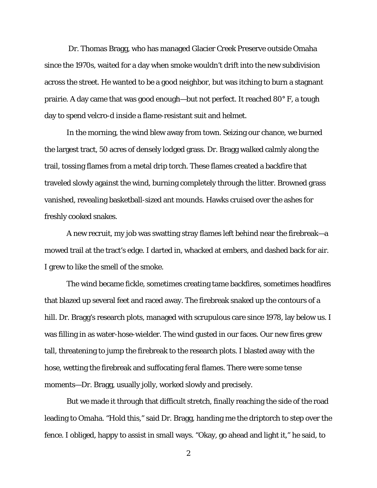Dr. Thomas Bragg, who has managed Glacier Creek Preserve outside Omaha since the 1970s, waited for a day when smoke wouldn't drift into the new subdivision across the street. He wanted to be a good neighbor, but was itching to burn a stagnant prairie. A day came that was good enough—but not perfect. It reached 80° F, a tough day to spend velcro-d inside a flame-resistant suit and helmet.

 In the morning, the wind blew away from town. Seizing our chance, we burned the largest tract, 50 acres of densely lodged grass. Dr. Bragg walked calmly along the trail, tossing flames from a metal drip torch. These flames created a backfire that traveled slowly against the wind, burning completely through the litter. Browned grass vanished, revealing basketball-sized ant mounds. Hawks cruised over the ashes for freshly cooked snakes.

A new recruit, my job was swatting stray flames left behind near the firebreak—a mowed trail at the tract's edge. I darted in, whacked at embers, and dashed back for air. I grew to like the smell of the smoke.

 The wind became fickle, sometimes creating tame backfires, sometimes headfires that blazed up several feet and raced away. The firebreak snaked up the contours of a hill. Dr. Bragg's research plots, managed with scrupulous care since 1978, lay below us. I was filling in as water-hose-wielder. The wind gusted in our faces. Our new fires grew tall, threatening to jump the firebreak to the research plots. I blasted away with the hose, wetting the firebreak and suffocating feral flames. There were some tense moments—Dr. Bragg, usually jolly, worked slowly and precisely.

 But we made it through that difficult stretch, finally reaching the side of the road leading to Omaha. "Hold this," said Dr. Bragg, handing me the driptorch to step over the fence. I obliged, happy to assist in small ways. "Okay, go ahead and light it," he said, to

2